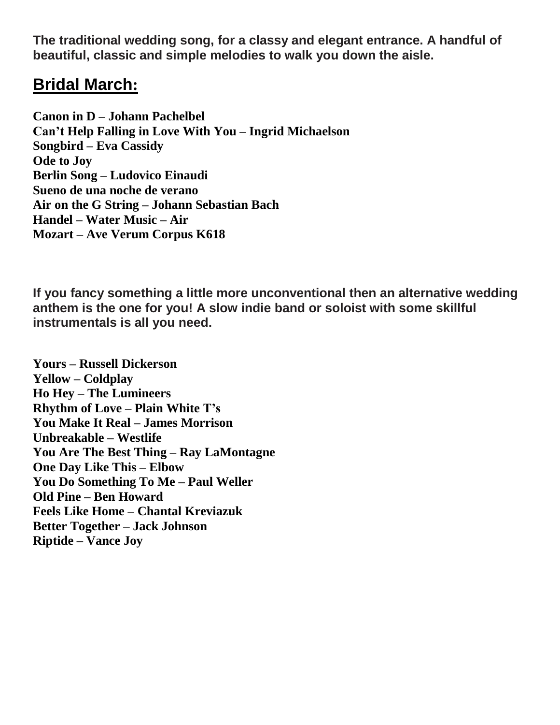**The traditional wedding song, for a classy and elegant entrance. A handful of beautiful, classic and simple melodies to walk you down the aisle.**

## **Bridal [March](https://youtu.be/P6rX3wlDsVI):**

**Canon in D – Johann [Pachelbel](https://youtu.be/NlprozGcs80) Can't Help Falling in Love With You – Ingrid [Michaelson](https://youtu.be/5sQeQC4hT10) [Songbird](https://youtu.be/bTNLYeaL7No) – Eva Cassidy [Ode](https://youtu.be/Wod-MudLNPA) to Joy Berlin Song – [Ludovico](https://youtu.be/_sLgFlQCdvQ) Einaudi Sueno de una noche de [verano](https://youtu.be/vL0HSxg8_Fc) Air on the G String – Johann [Sebastian](https://youtu.be/GMkmQlfOJDk) Bach [Handel](https://youtu.be/7U8YVsW9I8U) – Water Music – Air Mozart – Ave Verum [Corpus](https://youtu.be/_ovQYVl0Gzs) K618**

**If you fancy something a little more unconventional then an alternative wedding anthem is the one for you! A slow indie band or soloist with some skillful instrumentals is all you need.**

**Yours – Russell [Dickerson](https://youtu.be/gFccdvKehQI) Yellow – [Coldplay](https://youtu.be/yKNxeF4KMsY) Ho Hey – The [Lumineers](https://youtu.be/zvCBSSwgtg4) [Rhythm](https://youtu.be/JWiwuiT58Yc) of Love – Plain White T's You Make It Real – James [Morrison](https://youtu.be/rRxccy-zcJ8) [Unbreakable](https://youtu.be/azdesKO7r4Q) – Westlife You Are The Best Thing – Ray [LaMontagne](https://youtu.be/vJ3xTjvj9tw) One Day Like This – [Elbow](https://youtu.be/0NFV8dHrZYM) You Do [Something](https://youtu.be/tM1rSTOs7Zs) To Me – Paul Weller Old Pine – Ben [Howard](https://youtu.be/x8ccDb6n5Wg) Feels Like Home – Chantal [Kreviazuk](https://youtu.be/Am7EI5tdaX4) Better [Together](https://youtu.be/u57d4_b_YgI) – Jack Johnson [Riptide](https://youtu.be/uJ_1HMAGb4k) – Vance Joy**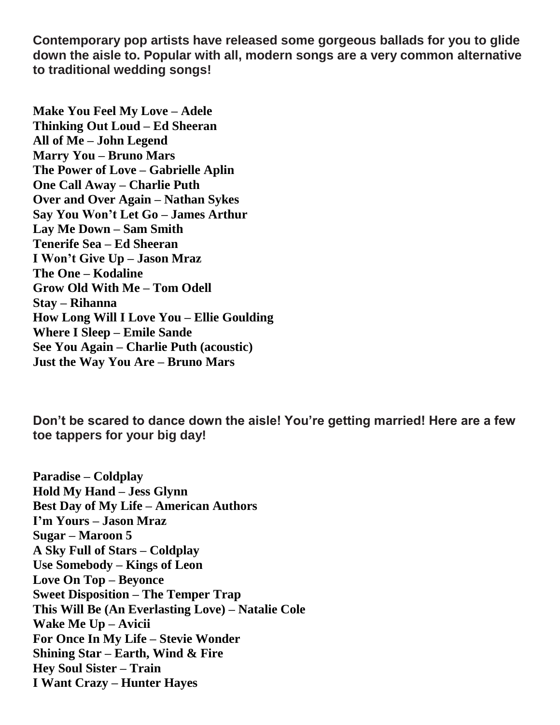**Contemporary pop artists have released some gorgeous ballads for you to glide down the aisle to. Popular with all, modern songs are a very common alternative to traditional wedding songs!**

**Make You Feel My Love – [Adele](https://youtu.be/0put0_a--Ng) [Thinking](https://youtu.be/lp-EO5I60KA) Out Loud – Ed Sheeran All of Me – John [Legend](https://youtu.be/450p7goxZqg) [Marry](https://youtu.be/5t3yWYmj5yk) You – Bruno Mars The Power of Love – [Gabrielle](https://youtu.be/zNpeK7sDLzE) Aplin One Call Away – [Charlie](https://youtu.be/ctdBYjwIXEM) Puth Over and Over Again – [Nathan](https://youtu.be/7eiv5aElMZs) Sykes Say You Won't Let Go – James [Arthur](https://youtu.be/0yW7w8F2TVA) Lay Me Down – Sam [Smith](https://youtu.be/HaMq2nn5ac0) [Tenerife](https://youtu.be/cHTEGQbtP1I) Sea – Ed Sheeran I [Won't](https://youtu.be/O1-4u9W-bns) Give Up – Jason Mraz The One – [Kodaline](https://youtu.be/xLPGtQoRUbk) [Grow](https://youtu.be/5rgHYP0dD_4) Old With Me – Tom Odell Stay – [Rihanna](https://youtu.be/JF8BRvqGCNs) How Long Will I Love You – Ellie [Goulding](https://youtu.be/an4ySOlsUMY) [Where](https://youtu.be/cVSZJlrM0UM) I Sleep – Emile Sande See You Again – Charlie Puth [\(acoustic\)](https://youtu.be/oLbG1HmfBIk) Just the Way You Are – [Bruno](https://youtu.be/LjhCEhWiKXk) Mars**

**Don't be scared to dance down the aisle! You're getting married! Here are a few toe tappers for your big day!**

**Paradise – [Coldplay](https://youtu.be/1G4isv_Fylg) Hold My Hand – Jess [Glynn](https://youtu.be/cLyUcAUMmMY) Best Day of My Life – [American](https://youtu.be/Y66j_BUCBMY) Authors I'm [Yours](https://youtu.be/EkHTsc9PU2A) – Jason Mraz Sugar – [Maroon](https://youtu.be/48VSP-atSeI) 5 A Sky Full of Stars – [Coldplay](https://youtu.be/zp7NtW_hKJI) Use [Somebody](https://youtu.be/gnhXHvRoUd0) – Kings of Leon Love On Top – [Beyonce](https://youtu.be/Ob7vObnFUJc) Sweet [Disposition](https://youtu.be/4C8e7nNLZNs) – The Temper Trap This Will Be (An [Everlasting](https://youtu.be/lswB6q2t_6c) Love) – Natalie Cole Wake Me Up – [Avicii](https://youtu.be/IcrbM1l_BoI) For Once In My Life – Stevie [Wonder](https://youtu.be/imsB543zqSM) [Shining](https://youtu.be/Zu9a29UR2dU) Star – Earth, Wind & Fire Hey Soul Sister – [Train](https://youtu.be/kVpv8-5XWOI) I Want Crazy – [Hunter](https://youtu.be/-WOODJ7lYi0) Hayes**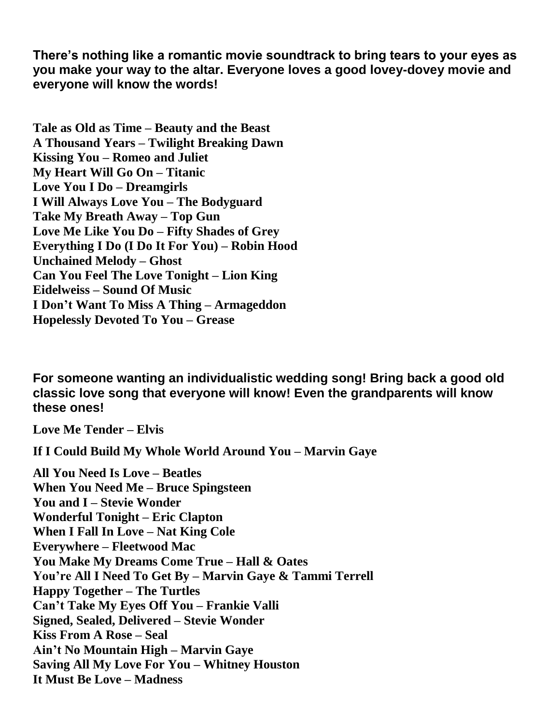**There's nothing like a romantic movie soundtrack to bring tears to your eyes as you make your way to the altar. Everyone loves a good lovey-dovey movie and everyone will know the words!**

**Tale as Old as Time – [Beauty](https://youtu.be/xDUhINW3SPs) and the Beast A [Thousand](https://youtu.be/rtOvBOTyX00) Years – Twilight Breaking Dawn [Kissing](https://youtu.be/x55doVYxwbQ) You – Romeo and Juliet My Heart Will Go On – [Titanic](https://youtu.be/FHG2oizTlpY) Love You I Do – [Dreamgirls](https://youtu.be/n-yiVuTIt2s) I Will Always Love You – The [Bodyguard](https://youtu.be/3JWTaaS7LdU) Take My [Breath](https://youtu.be/Bx51eegLTY8) Away – Top Gun Love Me Like You Do – Fifty [Shades](https://youtu.be/AJtDXIazrMo) of Grey [Everything](https://youtu.be/ZGoWtY_h4xo) I Do (I Do It For You) – Robin Hood [Unchained](https://youtu.be/qiiyq2xrSI0) Melody – Ghost Can You Feel The Love [Tonight](https://youtu.be/fTtgVSxfr5M) – Lion King [Eidelweiss](https://youtu.be/81Vzxng5iNA) – Sound Of Music I Don't Want To Miss A Thing – [Armageddon](https://youtu.be/JkK8g6FMEXE) [Hopelessly](https://youtu.be/tzmggUAqePY) Devoted To You – Grease**

**For someone wanting an individualistic wedding song! Bring back a good old classic love song that everyone will know! Even the grandparents will know these ones!**

**Love Me [Tender](https://youtu.be/093GjYcDg-4) – Elvis**

**If I Could Build My Whole World [Around](https://youtu.be/4cQURXodc4c) You – Marvin Gaye**

**All You Need Is Love – [Beatles](https://youtu.be/dsxtImDVMig) When You Need Me – Bruce [Spingsteen](https://youtu.be/WY2-hUoq3iQ) You and I – Stevie [Wonder](https://youtu.be/vy8Vf9d-GHM) [Wonderful](https://youtu.be/xl7Hd2r0LOs) Tonight – Eric Clapton [When](https://youtu.be/Y39N72hN7iQ) I Fall In Love – Nat King Cole [Everywhere](https://youtu.be/FsglRLoUdtc) – Fleetwood Mac You Make My [Dreams](https://youtu.be/X_I4wtNPv5w) Come True – Hall & Oates You're All I Need To Get By – [Marvin](https://youtu.be/gdqtmnd2T0U) Gaye & Tammi Terrell Happy [Together](https://youtu.be/9ZEURntrQOg) – The Turtles Can't Take My Eyes Off You – [Frankie](https://youtu.be/NGFToiLtXro) Valli Signed, Sealed, [Delivered](https://youtu.be/cBDqgSOwxkc) – Stevie Wonder Kiss [From](https://youtu.be/w7y19ED6Vrk) A Rose – Seal Ain't No [Mountain](https://youtu.be/EGBXIK5TZjs) High – Marvin Gaye Saving All My Love For You – [Whitney](https://youtu.be/ewxmv2tyeRs) Houston It Must Be Love – [Madness](https://youtu.be/vmezIIrFQmY)**